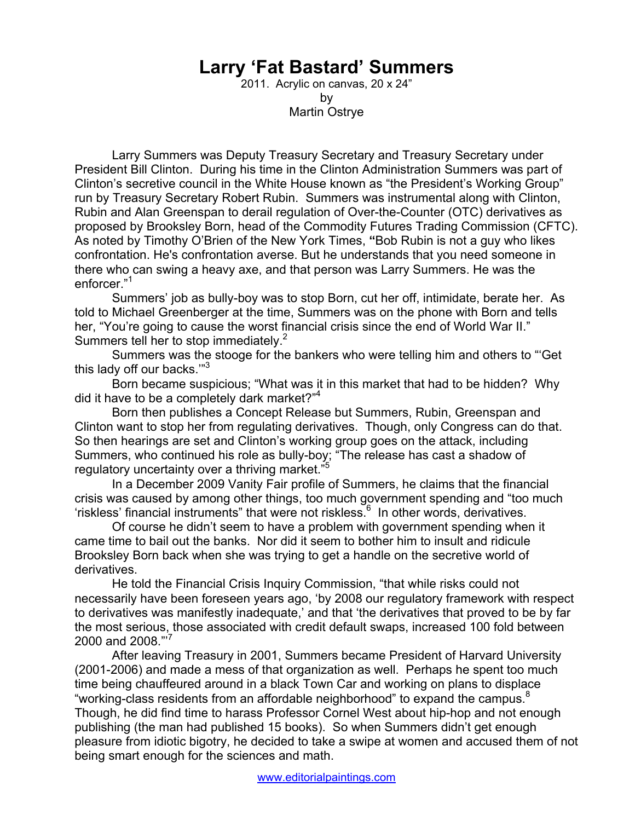## **Larry 'Fat Bastard' Summers**

2011. Acrylic on canvas, 20 x 24" by Martin Ostrye

 Larry Summers was Deputy Treasury Secretary and Treasury Secretary under President Bill Clinton. During his time in the Clinton Administration Summers was part of Clinton's secretive council in the White House known as "the President's Working Group" run by Treasury Secretary Robert Rubin. Summers was instrumental along with Clinton, Rubin and Alan Greenspan to derail regulation of Over-the-Counter (OTC) derivatives as proposed by Brooksley Born, head of the Commodity Futures Trading Commission (CFTC). As noted by Timothy O'Brien of the New York Times, **"**Bob Rubin is not a guy who likes confrontation. He's confrontation averse. But he understands that you need someone in there who can swing a heavy axe, and that person was Larry Summers. He was the enforcer."<sup>1</sup>

 Summers' job as bully-boy was to stop Born, cut her off, intimidate, berate her. As told to Michael Greenberger at the time, Summers was on the phone with Born and tells her, "You're going to cause the worst financial crisis since the end of World War II." Summers tell her to stop immediately.<sup>2</sup>

Summers was the stooge for the bankers who were telling him and others to "'Get this lady off our backs.'"3

Born became suspicious; "What was it in this market that had to be hidden? Why did it have to be a completely dark market?"<sup>4</sup>

Born then publishes a Concept Release but Summers, Rubin, Greenspan and Clinton want to stop her from regulating derivatives. Though, only Congress can do that. So then hearings are set and Clinton's working group goes on the attack, including Summers, who continued his role as bully-boy; "The release has cast a shadow of regulatory uncertainty over a thriving market."

 In a December 2009 Vanity Fair profile of Summers, he claims that the financial crisis was caused by among other things, too much government spending and "too much 'riskless' financial instruments" that were not riskless.<sup>6</sup> In other words, derivatives.

Of course he didn't seem to have a problem with government spending when it came time to bail out the banks. Nor did it seem to bother him to insult and ridicule Brooksley Born back when she was trying to get a handle on the secretive world of derivatives.

 He told the Financial Crisis Inquiry Commission, "that while risks could not necessarily have been foreseen years ago, 'by 2008 our regulatory framework with respect to derivatives was manifestly inadequate,' and that 'the derivatives that proved to be by far the most serious, those associated with credit default swaps, increased 100 fold between 2000 and 2008."'<sup>7</sup>

 After leaving Treasury in 2001, Summers became President of Harvard University (2001-2006) and made a mess of that organization as well. Perhaps he spent too much time being chauffeured around in a black Town Car and working on plans to displace "working-class residents from an affordable neighborhood" to expand the campus.<sup>8</sup> Though, he did find time to harass Professor Cornel West about hip-hop and not enough publishing (the man had published 15 books). So when Summers didn't get enough pleasure from idiotic bigotry, he decided to take a swipe at women and accused them of not being smart enough for the sciences and math.